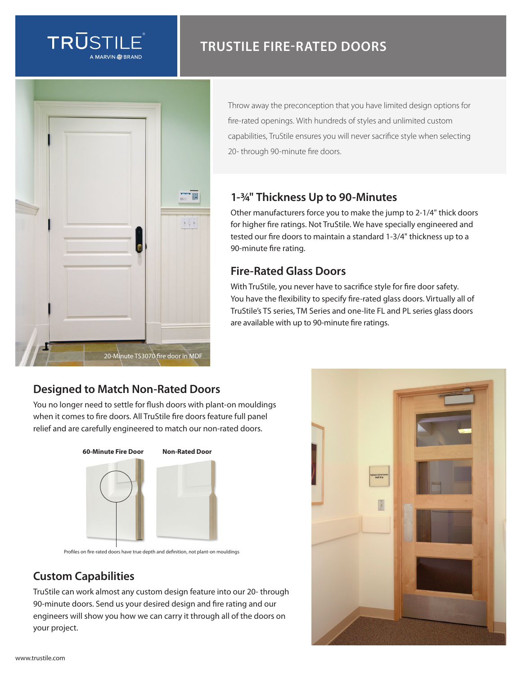

# **TRUSTILE FIRE-RATED DOORS**



Throw away the preconception that you have limited design options for fire-rated openings. With hundreds of styles and unlimited custom capabilities, TruStile ensures you will never sacrifice style when selecting 20- through 90-minute fire doors.

#### **1-3/4" Thickness Up to 90-Minutes**

Other manufacturers force you to make the jump to 2-1/4" thick doors for higher fire ratings. Not TruStile. We have specially engineered and tested our fire doors to maintain a standard 1-3/4" thickness up to a 90-minute fire rating.

## **Fire-Rated Glass Doors**

With TruStile, you never have to sacrifice style for fire door safety. You have the flexibility to specify fire-rated glass doors. Virtually all of TruStile's TS series, TM Series and one-lite FL and PL series glass doors are available with up to 90-minute fire ratings.

### **Designed to Match Non-Rated Doors**

You no longer need to settle for flush doors with plant-on mouldings when it comes to fire doors. All TruStile fire doors feature full panel relief and are carefully engineered to match our non-rated doors.



Profiles on fire-rated doors have true depth and definition, not plant-on mouldings

### **Custom Capabilities**

TruStile can work almost any custom design feature into our 20- through 90-minute doors. Send us your desired design and fire rating and our engineers will show you how we can carry it through all of the doors on your project.